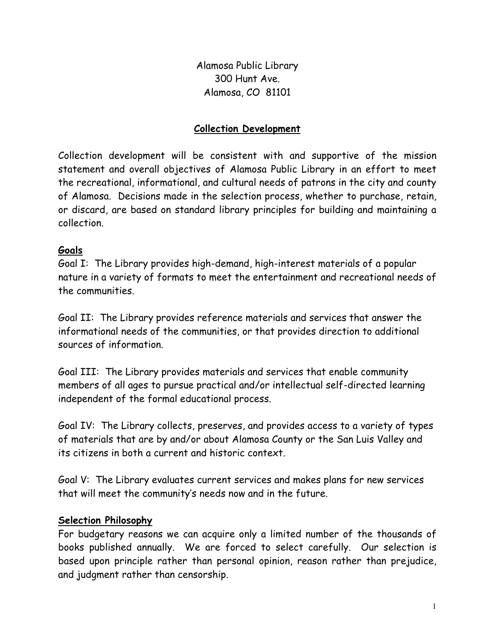Alamosa Public Library 300 Hunt Ave. Alamosa, CO 81101

## Collection Development

Collection development will be consistent with and supportive of the mission statement and overall objectives of Alamosa Public Library in an effort to meet the recreational, informational, and cultural needs of patrons in the city and county of Alamosa. Decisions made in the selection process, whether to purchase, retain, or discard, are based on standard library principles for building and maintaining a collection.

## Goals

Goal I: The Library provides high-demand, high-interest materials of a popular nature in a variety of formats to meet the entertainment and recreational needs of the communities.

Goal II: The Library provides reference materials and services that answer the informational needs of the communities, or that provides direction to additional sources of information.

Goal III: The Library provides materials and services that enable community members of all ages to pursue practical and/or intellectual self-directed learning independent of the formal educational process.

Goal IV: The Library collects, preserves, and provides access to a variety of types of materials that are by and/or about Alamosa County or the San Luis Valley and its citizens in both a current and historic context.

Goal V: The Library evaluates current services and makes plans for new services that will meet the community's needs now and in the future.

### Selection Philosophy

For budgetary reasons we can acquire only a limited number of the thousands of books published annually. We are forced to select carefully. Our selection is based upon principle rather than personal opinion, reason rather than prejudice, and judgment rather than censorship.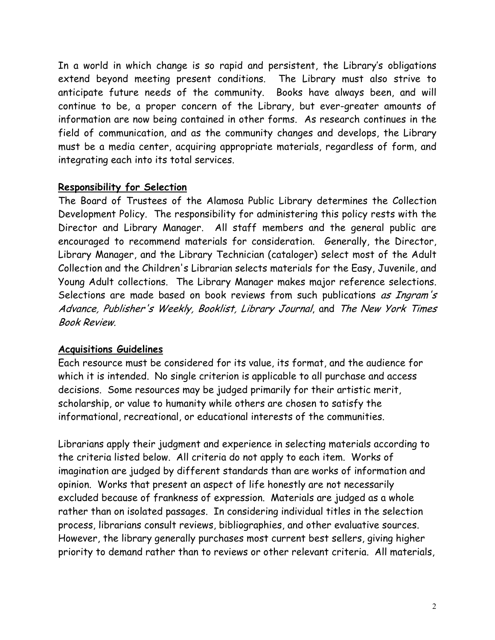In a world in which change is so rapid and persistent, the Library's obligations extend beyond meeting present conditions. The Library must also strive to anticipate future needs of the community. Books have always been, and will continue to be, a proper concern of the Library, but ever-greater amounts of information are now being contained in other forms. As research continues in the field of communication, and as the community changes and develops, the Library must be a media center, acquiring appropriate materials, regardless of form, and integrating each into its total services.

# Responsibility for Selection

The Board of Trustees of the Alamosa Public Library determines the Collection Development Policy. The responsibility for administering this policy rests with the Director and Library Manager. All staff members and the general public are encouraged to recommend materials for consideration. Generally, the Director, Library Manager, and the Library Technician (cataloger) select most of the Adult Collection and the Children's Librarian selects materials for the Easy, Juvenile, and Young Adult collections. The Library Manager makes major reference selections. Selections are made based on book reviews from such publications as Ingram's Advance, Publisher's Weekly, Booklist, Library Journal, and The New York Times Book Review.

# Acquisitions Guidelines

Each resource must be considered for its value, its format, and the audience for which it is intended. No single criterion is applicable to all purchase and access decisions. Some resources may be judged primarily for their artistic merit, scholarship, or value to humanity while others are chosen to satisfy the informational, recreational, or educational interests of the communities.

Librarians apply their judgment and experience in selecting materials according to the criteria listed below. All criteria do not apply to each item. Works of imagination are judged by different standards than are works of information and opinion. Works that present an aspect of life honestly are not necessarily excluded because of frankness of expression. Materials are judged as a whole rather than on isolated passages. In considering individual titles in the selection process, librarians consult reviews, bibliographies, and other evaluative sources. However, the library generally purchases most current best sellers, giving higher priority to demand rather than to reviews or other relevant criteria. All materials,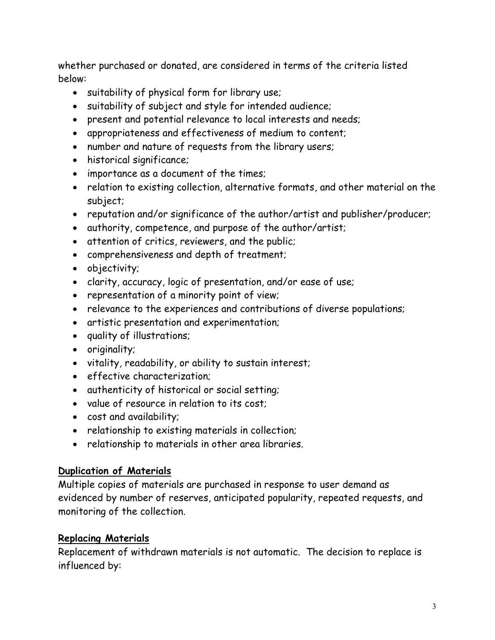whether purchased or donated, are considered in terms of the criteria listed below:

- suitability of physical form for library use;
- suitability of subject and style for intended audience;
- present and potential relevance to local interests and needs;
- appropriateness and effectiveness of medium to content;
- number and nature of requests from the library users;
- historical significance;
- importance as a document of the times;
- relation to existing collection, alternative formats, and other material on the subject;
- reputation and/or significance of the author/artist and publisher/producer;
- authority, competence, and purpose of the author/artist;
- attention of critics, reviewers, and the public;
- comprehensiveness and depth of treatment;
- objectivity;
- clarity, accuracy, logic of presentation, and/or ease of use;
- representation of a minority point of view;
- relevance to the experiences and contributions of diverse populations;
- artistic presentation and experimentation;
- quality of illustrations;
- originality;
- vitality, readability, or ability to sustain interest;
- effective characterization;
- authenticity of historical or social setting;
- value of resource in relation to its cost;
- cost and availability;
- relationship to existing materials in collection;
- relationship to materials in other area libraries.

### Duplication of Materials

Multiple copies of materials are purchased in response to user demand as evidenced by number of reserves, anticipated popularity, repeated requests, and monitoring of the collection.

# Replacing Materials

Replacement of withdrawn materials is not automatic. The decision to replace is influenced by: